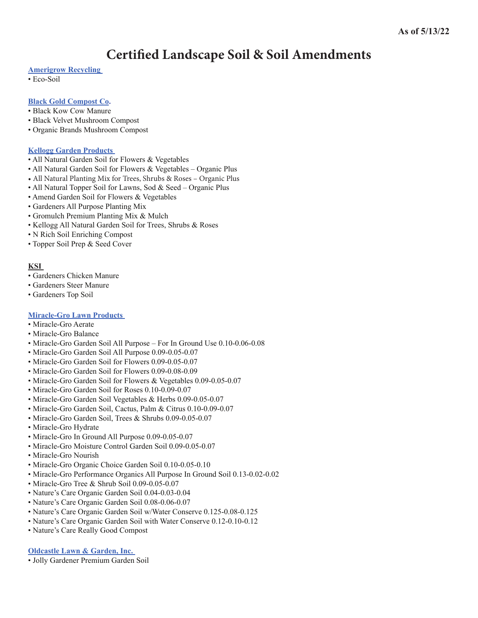# **Certified Landscape Soil & Soil Amendments**

# **[Amerigrow Recycling](http://www.amerigrow.com/)**

• Eco-Soil

# **[Black Gold Compost Co.](http://www.blackkow.com/)**

- Black Kow Cow Manure
- Black Velvet Mushroom Compost
- Organic Brands Mushroom Compost

# **[Kellogg Garden Products](http://www.kellogggarden.com/)**

- All Natural Garden Soil for Flowers & Vegetables
- All Natural Garden Soil for Flowers & Vegetables Organic Plus
- All Natural Planting Mix for Trees, Shrubs & Roses Organic Plus
- All Natural Topper Soil for Lawns, Sod & Seed Organic Plus
- Amend Garden Soil for Flowers & Vegetables
- Gardeners All Purpose Planting Mix
- Gromulch Premium Planting Mix & Mulch
- Kellogg All Natural Garden Soil for Trees, Shrubs & Roses
- N Rich Soil Enriching Compost
- Topper Soil Prep & Seed Cover

# **KSI**

- Gardeners Chicken Manure
- Gardeners Steer Manure
- Gardeners Top Soil

# **[Miracle-Gro Lawn Products](http://www.miraclegro.com/)**

- Miracle-Gro Aerate
- Miracle-Gro Balance
- Miracle-Gro Garden Soil All Purpose For In Ground Use 0.10-0.06-0.08
- Miracle-Gro Garden Soil All Purpose 0.09-0.05-0.07
- Miracle-Gro Garden Soil for Flowers 0.09-0.05-0.07
- Miracle-Gro Garden Soil for Flowers 0.09-0.08-0.09
- Miracle-Gro Garden Soil for Flowers & Vegetables 0.09-0.05-0.07
- Miracle-Gro Garden Soil for Roses 0.10-0.09-0.07
- Miracle-Gro Garden Soil Vegetables & Herbs 0.09-0.05-0.07
- Miracle-Gro Garden Soil, Cactus, Palm & Citrus 0.10-0.09-0.07
- Miracle-Gro Garden Soil, Trees & Shrubs 0.09-0.05-0.07
- Miracle-Gro Hydrate
- Miracle-Gro In Ground All Purpose 0.09-0.05-0.07
- Miracle-Gro Moisture Control Garden Soil 0.09-0.05-0.07
- Miracle-Gro Nourish
- Miracle-Gro Organic Choice Garden Soil 0.10-0.05-0.10
- Miracle-Gro Performance Organics All Purpose In Ground Soil 0.13-0.02-0.02
- Miracle-Gro Tree & Shrub Soil 0.09-0.05-0.07
- Nature's Care Organic Garden Soil 0.04-0.03-0.04
- Nature's Care Organic Garden Soil 0.08-0.06-0.07
- Nature's Care Organic Garden Soil w/Water Conserve 0.125-0.08-0.125
- Nature's Care Organic Garden Soil with Water Conserve 0.12-0.10-0.12
- Nature's Care Really Good Compost

#### **[Oldcastle Lawn & Garden, Inc.](http://www.oldcastleapg.com/patio_products.htm)**

• Jolly Gardener Premium Garden Soil